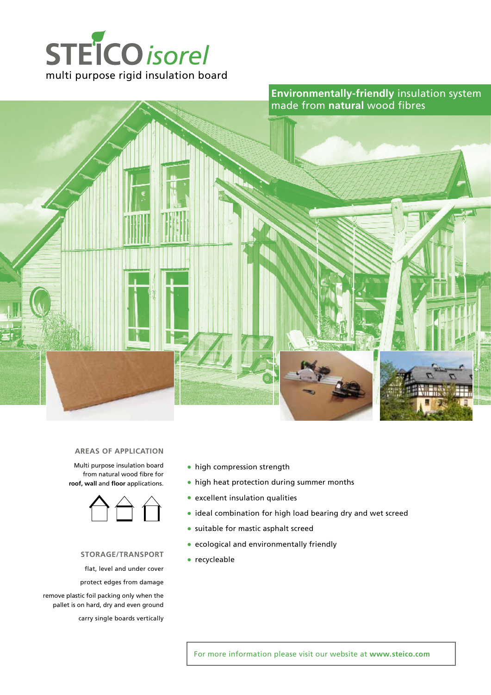



#### **AREAS of application**

Multi purpose insulation board from natural wood fibre for **roof, wall** and **floor** applications.



#### **storage/transport**

flat, level and under cover

protect edges from damage

remove plastic foil packing only when the pallet is on hard, dry and even ground

carry single boards vertically

- high compression strength
- high heat protection during summer months
- excellent insulation qualities
- ideal combination for high load bearing dry and wet screed
- suitable for mastic asphalt screed
- ecological and environmentally friendly
- recycleable

For more information please visit our website at **www.steico.com**